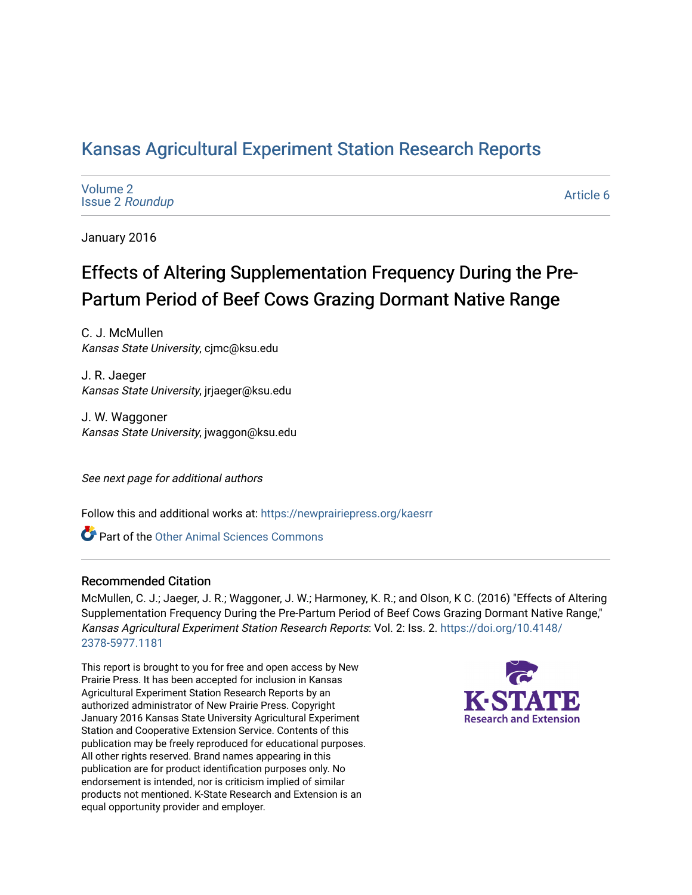# [Kansas Agricultural Experiment Station Research Reports](https://newprairiepress.org/kaesrr)

| Volume 2               |  |
|------------------------|--|
| <b>Issue 2 Roundup</b> |  |

[Article 6](https://newprairiepress.org/kaesrr/vol2/iss2/6) 

January 2016

# Effects of Altering Supplementation Frequency During the Pre-Partum Period of Beef Cows Grazing Dormant Native Range

C. J. McMullen Kansas State University, cjmc@ksu.edu

J. R. Jaeger Kansas State University, jrjaeger@ksu.edu

J. W. Waggoner Kansas State University, jwaggon@ksu.edu

See next page for additional authors

Follow this and additional works at: [https://newprairiepress.org/kaesrr](https://newprairiepress.org/kaesrr?utm_source=newprairiepress.org%2Fkaesrr%2Fvol2%2Fiss2%2F6&utm_medium=PDF&utm_campaign=PDFCoverPages) 

Part of the [Other Animal Sciences Commons](http://network.bepress.com/hgg/discipline/82?utm_source=newprairiepress.org%2Fkaesrr%2Fvol2%2Fiss2%2F6&utm_medium=PDF&utm_campaign=PDFCoverPages)

### Recommended Citation

McMullen, C. J.; Jaeger, J. R.; Waggoner, J. W.; Harmoney, K. R.; and Olson, K C. (2016) "Effects of Altering Supplementation Frequency During the Pre-Partum Period of Beef Cows Grazing Dormant Native Range," Kansas Agricultural Experiment Station Research Reports: Vol. 2: Iss. 2. [https://doi.org/10.4148/](https://doi.org/10.4148/2378-5977.1181) [2378-5977.1181](https://doi.org/10.4148/2378-5977.1181) 

This report is brought to you for free and open access by New Prairie Press. It has been accepted for inclusion in Kansas Agricultural Experiment Station Research Reports by an authorized administrator of New Prairie Press. Copyright January 2016 Kansas State University Agricultural Experiment Station and Cooperative Extension Service. Contents of this publication may be freely reproduced for educational purposes. All other rights reserved. Brand names appearing in this publication are for product identification purposes only. No endorsement is intended, nor is criticism implied of similar products not mentioned. K-State Research and Extension is an equal opportunity provider and employer.

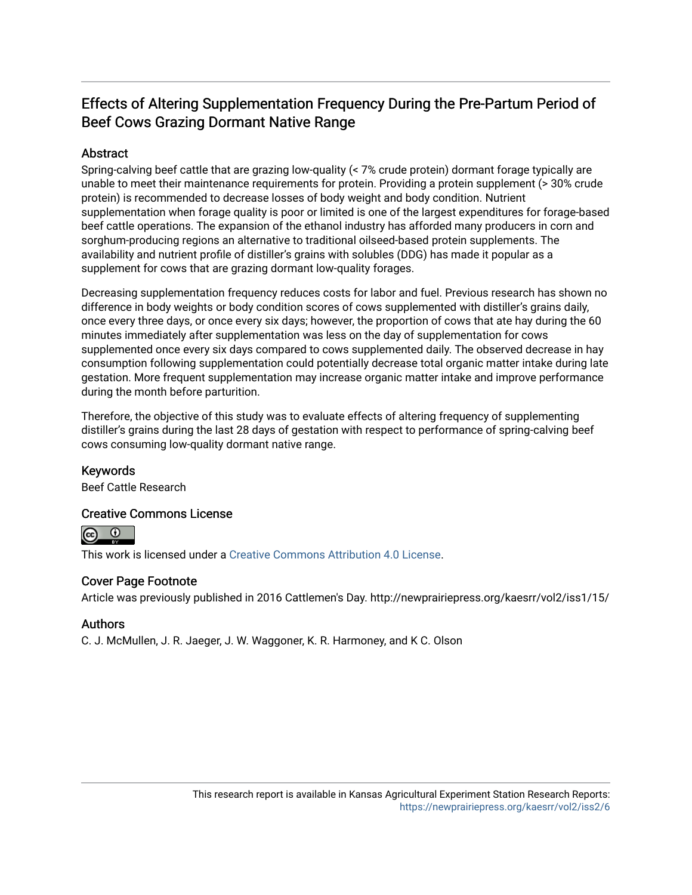## Effects of Altering Supplementation Frequency During the Pre-Partum Period of Beef Cows Grazing Dormant Native Range

### Abstract

Spring-calving beef cattle that are grazing low-quality (< 7% crude protein) dormant forage typically are unable to meet their maintenance requirements for protein. Providing a protein supplement (> 30% crude protein) is recommended to decrease losses of body weight and body condition. Nutrient supplementation when forage quality is poor or limited is one of the largest expenditures for forage-based beef cattle operations. The expansion of the ethanol industry has afforded many producers in corn and sorghum-producing regions an alternative to traditional oilseed-based protein supplements. The availability and nutrient profile of distiller's grains with solubles (DDG) has made it popular as a supplement for cows that are grazing dormant low-quality forages.

Decreasing supplementation frequency reduces costs for labor and fuel. Previous research has shown no difference in body weights or body condition scores of cows supplemented with distiller's grains daily, once every three days, or once every six days; however, the proportion of cows that ate hay during the 60 minutes immediately after supplementation was less on the day of supplementation for cows supplemented once every six days compared to cows supplemented daily. The observed decrease in hay consumption following supplementation could potentially decrease total organic matter intake during late gestation. More frequent supplementation may increase organic matter intake and improve performance during the month before parturition.

Therefore, the objective of this study was to evaluate effects of altering frequency of supplementing distiller's grains during the last 28 days of gestation with respect to performance of spring-calving beef cows consuming low-quality dormant native range.

### Keywords

Beef Cattle Research

### Creative Commons License



This work is licensed under a [Creative Commons Attribution 4.0 License](https://creativecommons.org/licenses/by/4.0/).

### Cover Page Footnote

Article was previously published in 2016 Cattlemen's Day. http://newprairiepress.org/kaesrr/vol2/iss1/15/

### Authors

C. J. McMullen, J. R. Jaeger, J. W. Waggoner, K. R. Harmoney, and K C. Olson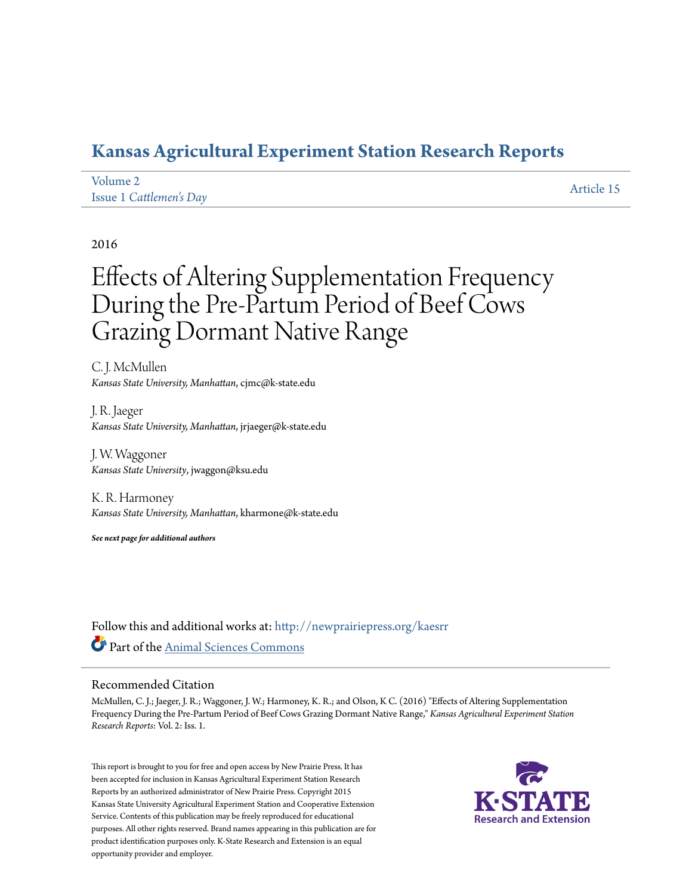# **[Kansas Agricultural Experiment Station Research Reports](http://newprairiepress.org/kaesrr?utm_source=newprairiepress.org%2Fkaesrr%2Fvol2%2Fiss1%2F15&utm_medium=PDF&utm_campaign=PDFCoverPages)**

| Volume 2                | Article 15 |
|-------------------------|------------|
| Issue 1 Cattlemen's Day |            |

### 2016

# Effects of Altering Supplementation Frequency During the Pre-Partum Period of Beef Cows Grazing Dormant Native Range

C. J. McMullen *Kansas State University, Manhattan*, cjmc@k-state.edu

J. R. Jaeger *Kansas State University, Manhattan*, jrjaeger@k-state.edu

J. W. Waggoner *Kansas State University*, jwaggon@ksu.edu

K. R. Harmoney *Kansas State University, Manhattan*, kharmone@k-state.edu

*See next page for additional authors*

Follow this and additional works at: [http://newprairiepress.org/kaesrr](http://newprairiepress.org/kaesrr?utm_source=newprairiepress.org%2Fkaesrr%2Fvol2%2Fiss1%2F15&utm_medium=PDF&utm_campaign=PDFCoverPages) Part of the [Animal Sciences Commons](http://network.bepress.com/hgg/discipline/76?utm_source=newprairiepress.org%2Fkaesrr%2Fvol2%2Fiss1%2F15&utm_medium=PDF&utm_campaign=PDFCoverPages)

### Recommended Citation

McMullen, C. J.; Jaeger, J. R.; Waggoner, J. W.; Harmoney, K. R.; and Olson, K C. (2016) "Effects of Altering Supplementation Frequency During the Pre-Partum Period of Beef Cows Grazing Dormant Native Range," *Kansas Agricultural Experiment Station Research Reports*: Vol. 2: Iss. 1.

This report is brought to you for free and open access by New Prairie Press. It has been accepted for inclusion in Kansas Agricultural Experiment Station Research Reports by an authorized administrator of New Prairie Press. Copyright 2015 Kansas State University Agricultural Experiment Station and Cooperative Extension Service. Contents of this publication may be freely reproduced for educational purposes. All other rights reserved. Brand names appearing in this publication are for product identification purposes only. K-State Research and Extension is an equal opportunity provider and employer.

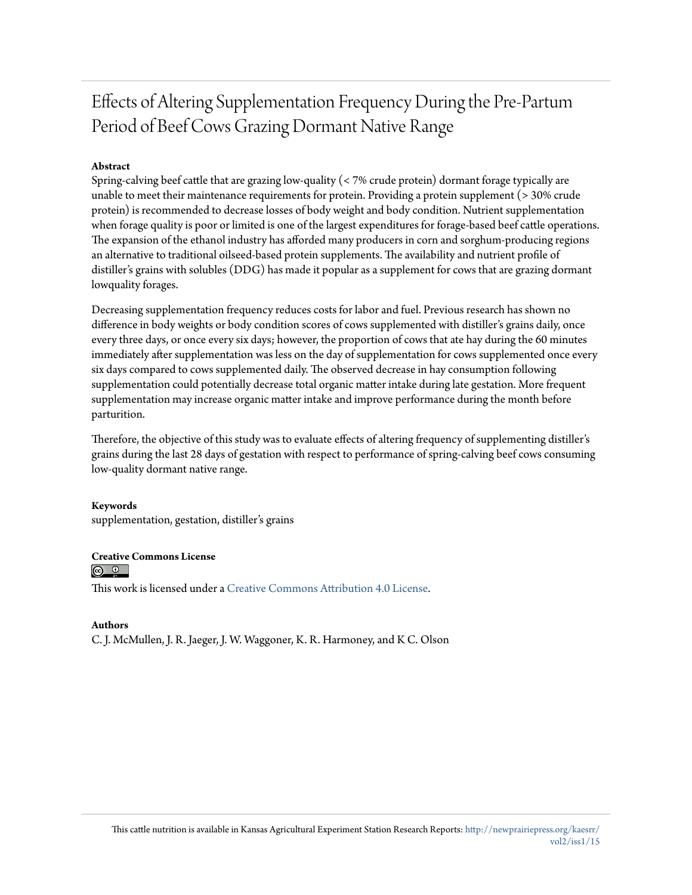# Effects of Altering Supplementation Frequency During the Pre-Partum Period of Beef Cows Grazing Dormant Native Range

### **Abstract**

Spring-calving beef cattle that are grazing low-quality (< 7% crude protein) dormant forage typically are unable to meet their maintenance requirements for protein. Providing a protein supplement (> 30% crude protein) is recommended to decrease losses of body weight and body condition. Nutrient supplementation when forage quality is poor or limited is one of the largest expenditures for forage-based beef cattle operations. The expansion of the ethanol industry has afforded many producers in corn and sorghum-producing regions an alternative to traditional oilseed-based protein supplements. The availability and nutrient profile of distiller's grains with solubles (DDG) has made it popular as a supplement for cows that are grazing dormant lowquality forages.

Decreasing supplementation frequency reduces costs for labor and fuel. Previous research has shown no difference in body weights or body condition scores of cows supplemented with distiller's grains daily, once every three days, or once every six days; however, the proportion of cows that ate hay during the 60 minutes immediately after supplementation was less on the day of supplementation for cows supplemented once every six days compared to cows supplemented daily. The observed decrease in hay consumption following supplementation could potentially decrease total organic matter intake during late gestation. More frequent supplementation may increase organic matter intake and improve performance during the month before parturition.

Therefore, the objective of this study was to evaluate effects of altering frequency of supplementing distiller's grains during the last 28 days of gestation with respect to performance of spring-calving beef cows consuming low-quality dormant native range.

### **Keywords**

supplementation, gestation, distiller's grains

### **Creative Commons License**

 $\circ$   $\circ$ 

This work is licensed under a [Creative Commons Attribution 4.0 License.](http://creativecommons.org/licenses/by/4.0/)

### **Authors**

C. J. McMullen, J. R. Jaeger, J. W. Waggoner, K. R. Harmoney, and K C. Olson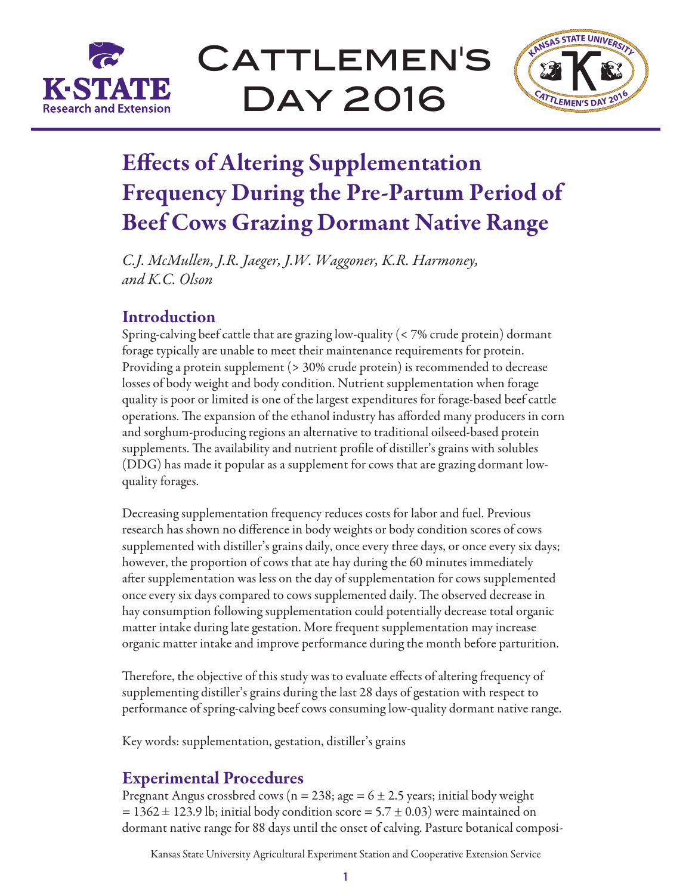

CATTLEMEN'S Day 2016



# Effects of Altering Supplementation Frequency During the Pre-Partum Period of Beef Cows Grazing Dormant Native Range

*C.J. McMullen, J.R. Jaeger, J.W. Waggoner, K.R. Harmoney, and K.C. Olson*

### **Introduction**

Spring-calving beef cattle that are grazing low-quality (< 7% crude protein) dormant forage typically are unable to meet their maintenance requirements for protein. Providing a protein supplement (> 30% crude protein) is recommended to decrease losses of body weight and body condition. Nutrient supplementation when forage quality is poor or limited is one of the largest expenditures for forage-based beef cattle operations. The expansion of the ethanol industry has afforded many producers in corn and sorghum-producing regions an alternative to traditional oilseed-based protein supplements. The availability and nutrient profile of distiller's grains with solubles (DDG) has made it popular as a supplement for cows that are grazing dormant lowquality forages.

Decreasing supplementation frequency reduces costs for labor and fuel. Previous research has shown no difference in body weights or body condition scores of cows supplemented with distiller's grains daily, once every three days, or once every six days; however, the proportion of cows that ate hay during the 60 minutes immediately after supplementation was less on the day of supplementation for cows supplemented once every six days compared to cows supplemented daily. The observed decrease in hay consumption following supplementation could potentially decrease total organic matter intake during late gestation. More frequent supplementation may increase organic matter intake and improve performance during the month before parturition.

Therefore, the objective of this study was to evaluate effects of altering frequency of supplementing distiller's grains during the last 28 days of gestation with respect to performance of spring-calving beef cows consuming low-quality dormant native range.

Key words: supplementation, gestation, distiller's grains

### Experimental Procedures

Pregnant Angus crossbred cows (n = 238; age =  $6 \pm 2.5$  years; initial body weight  $= 1362 \pm 123.9$  lb; initial body condition score  $= 5.7 \pm 0.03$ ) were maintained on dormant native range for 88 days until the onset of calving. Pasture botanical composi-

Kansas State University Agricultural Experiment Station and Cooperative Extension Service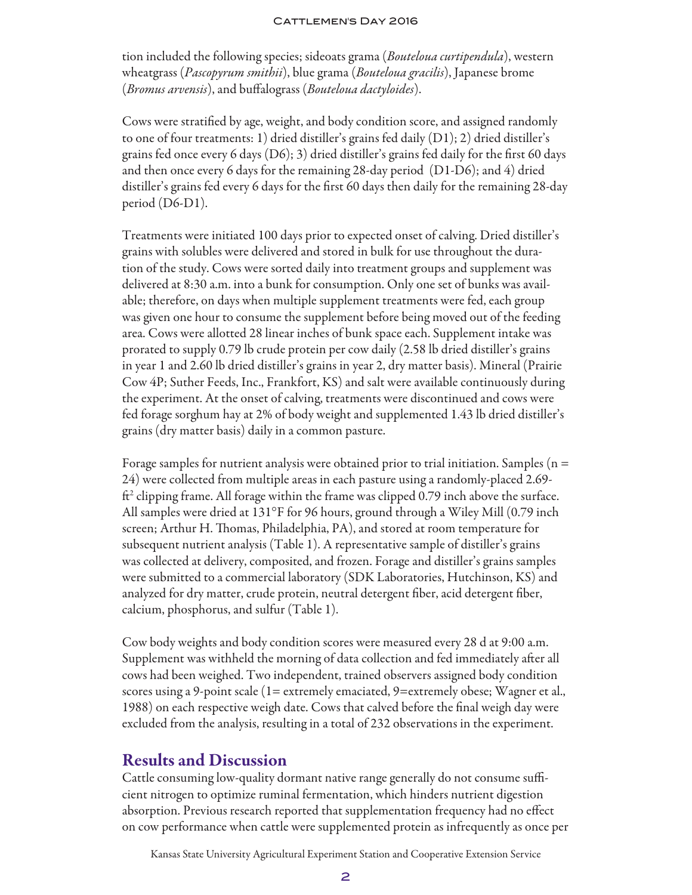#### CATTLEMEN'S DAY 2016

tion included the following species; sideoats grama (*Bouteloua curtipendula*), western wheatgrass (*Pascopyrum smithii*), blue grama (*Bouteloua gracilis*), Japanese brome (*Bromus arvensis*), and buffalograss (*Bouteloua dactyloides*).

Cows were stratified by age, weight, and body condition score, and assigned randomly to one of four treatments: 1) dried distiller's grains fed daily (D1); 2) dried distiller's grains fed once every 6 days (D6); 3) dried distiller's grains fed daily for the first 60 days and then once every 6 days for the remaining 28-day period (D1-D6); and 4) dried distiller's grains fed every 6 days for the first 60 days then daily for the remaining 28-day period (D6-D1).

Treatments were initiated 100 days prior to expected onset of calving. Dried distiller's grains with solubles were delivered and stored in bulk for use throughout the duration of the study. Cows were sorted daily into treatment groups and supplement was delivered at 8:30 a.m. into a bunk for consumption. Only one set of bunks was available; therefore, on days when multiple supplement treatments were fed, each group was given one hour to consume the supplement before being moved out of the feeding area. Cows were allotted 28 linear inches of bunk space each. Supplement intake was prorated to supply 0.79 lb crude protein per cow daily (2.58 lb dried distiller's grains in year 1 and 2.60 lb dried distiller's grains in year 2, dry matter basis). Mineral (Prairie Cow 4P; Suther Feeds, Inc., Frankfort, KS) and salt were available continuously during the experiment. At the onset of calving, treatments were discontinued and cows were fed forage sorghum hay at 2% of body weight and supplemented 1.43 lb dried distiller's grains (dry matter basis) daily in a common pasture.

Forage samples for nutrient analysis were obtained prior to trial initiation. Samples ( $n =$ 24) were collected from multiple areas in each pasture using a randomly-placed 2.69-  $\mathrm{ft}^2$  clipping frame. All forage within the frame was clipped 0.79 inch above the surface. All samples were dried at 131°F for 96 hours, ground through a Wiley Mill (0.79 inch screen; Arthur H. Thomas, Philadelphia, PA), and stored at room temperature for subsequent nutrient analysis (Table 1). A representative sample of distiller's grains was collected at delivery, composited, and frozen. Forage and distiller's grains samples were submitted to a commercial laboratory (SDK Laboratories, Hutchinson, KS) and analyzed for dry matter, crude protein, neutral detergent fiber, acid detergent fiber, calcium, phosphorus, and sulfur (Table 1).

Cow body weights and body condition scores were measured every 28 d at 9:00 a.m. Supplement was withheld the morning of data collection and fed immediately after all cows had been weighed. Two independent, trained observers assigned body condition scores using a 9-point scale (1= extremely emaciated, 9=extremely obese; Wagner et al., 1988) on each respective weigh date. Cows that calved before the final weigh day were excluded from the analysis, resulting in a total of 232 observations in the experiment.

### Results and Discussion

Cattle consuming low-quality dormant native range generally do not consume sufficient nitrogen to optimize ruminal fermentation, which hinders nutrient digestion absorption. Previous research reported that supplementation frequency had no effect on cow performance when cattle were supplemented protein as infrequently as once per

Kansas State University Agricultural Experiment Station and Cooperative Extension Service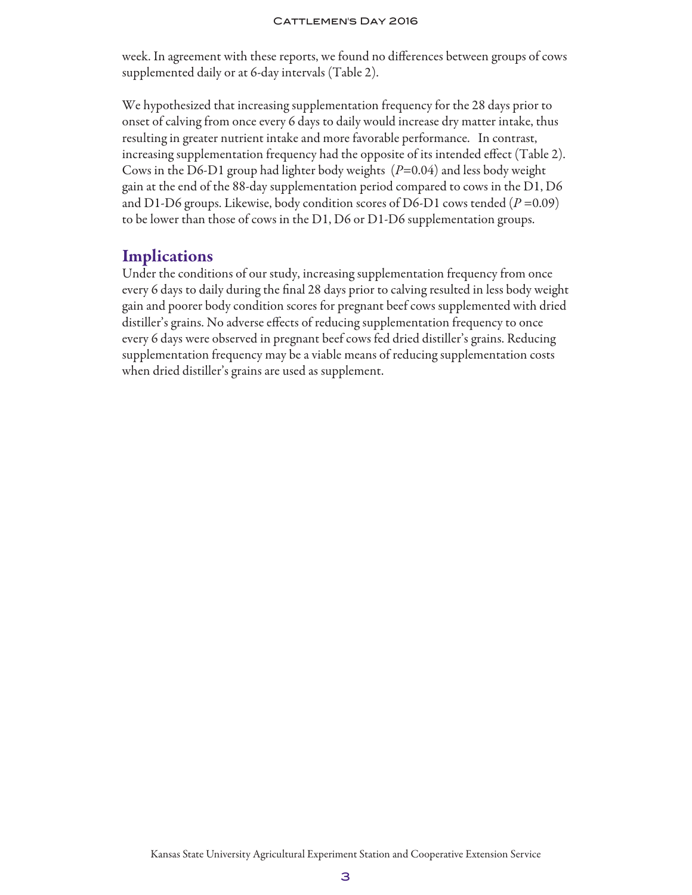#### CATTLEMEN'S DAY 2016

week. In agreement with these reports, we found no differences between groups of cows supplemented daily or at 6-day intervals (Table 2).

We hypothesized that increasing supplementation frequency for the 28 days prior to onset of calving from once every 6 days to daily would increase dry matter intake, thus resulting in greater nutrient intake and more favorable performance. In contrast, increasing supplementation frequency had the opposite of its intended effect (Table 2). Cows in the D6-D1 group had lighter body weights (*P*=0.04) and less body weight gain at the end of the 88-day supplementation period compared to cows in the D1, D6 and D1-D6 groups. Likewise, body condition scores of D6-D1 cows tended  $(P=0.09)$ to be lower than those of cows in the D1, D6 or D1-D6 supplementation groups.

### **Implications**

Under the conditions of our study, increasing supplementation frequency from once every 6 days to daily during the final 28 days prior to calving resulted in less body weight gain and poorer body condition scores for pregnant beef cows supplemented with dried distiller's grains. No adverse effects of reducing supplementation frequency to once every 6 days were observed in pregnant beef cows fed dried distiller's grains. Reducing supplementation frequency may be a viable means of reducing supplementation costs when dried distiller's grains are used as supplement.